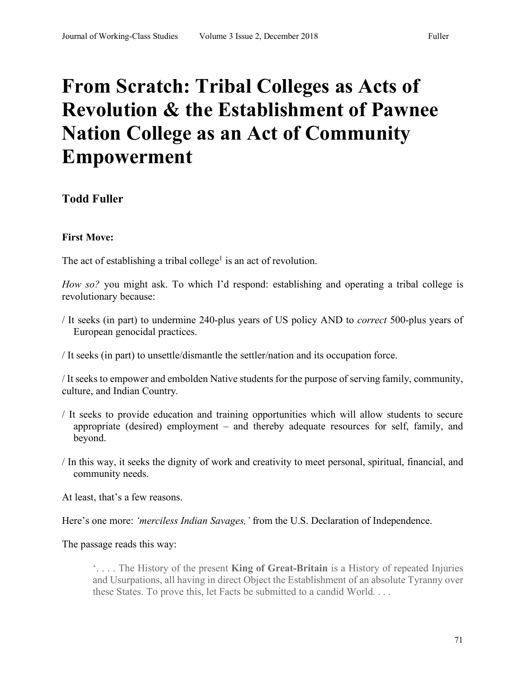# **From Scratch: Tribal Colleges as Acts of Revolution & the Establishment of Pawnee Nation College as an Act of Community Empowerment**

# **Todd Fuller**

# **First Move:**

The act of establishing a tribal college<sup>1</sup> is an act of revolution.

*How so?* you might ask. To which I'd respond: establishing and operating a tribal college is revolutionary because:

- / It seeks (in part) to undermine 240-plus years of US policy AND to *correct* 500-plus years of European genocidal practices.
- / It seeks (in part) to unsettle/dismantle the settler/nation and its occupation force.

/ It seeks to empower and embolden Native students for the purpose of serving family, community, culture, and Indian Country.

- / It seeks to provide education and training opportunities which will allow students to secure appropriate (desired) employment – and thereby adequate resources for self, family, and beyond.
- / In this way, it seeks the dignity of work and creativity to meet personal, spiritual, financial, and community needs.

At least, that's a few reasons.

Here's one more: *'merciless Indian Savages,'* from the U.S. Declaration of Independence.

The passage reads this way:

'. . . . The History of the present **King of Great-Britain** is a History of repeated Injuries and Usurpations, all having in direct Object the Establishment of an absolute Tyranny over these States. To prove this, let Facts be submitted to a candid World. . . .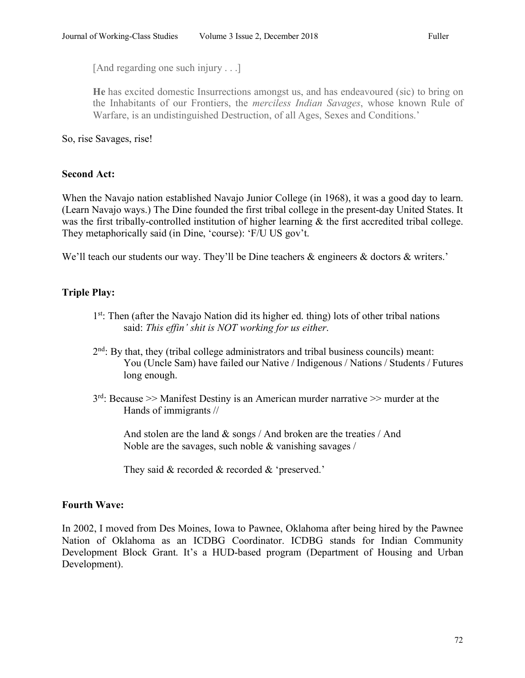[And regarding one such injury . . .]

**He** has excited domestic Insurrections amongst us, and has endeavoured (sic) to bring on the Inhabitants of our Frontiers, the *merciless Indian Savages*, whose known Rule of Warfare, is an undistinguished Destruction, of all Ages, Sexes and Conditions.'

So, rise Savages, rise!

#### **Second Act:**

When the Navajo nation established Navajo Junior College (in 1968), it was a good day to learn. (Learn Navajo ways.) The Dine founded the first tribal college in the present-day United States. It was the first tribally-controlled institution of higher learning  $\&$  the first accredited tribal college. They metaphorically said (in Dine, 'course): 'F/U US gov't.

We'll teach our students our way. They'll be Dine teachers  $\&$  engineers  $\&$  doctors  $\&$  writers.'

## **Triple Play:**

- 1st: Then (after the Navajo Nation did its higher ed. thing) lots of other tribal nations said: *This effin' shit is NOT working for us either*.
- 2nd: By that, they (tribal college administrators and tribal business councils) meant: You (Uncle Sam) have failed our Native / Indigenous / Nations / Students / Futures long enough.
- $3<sup>rd</sup>$ : Because >> Manifest Destiny is an American murder narrative >> murder at the Hands of immigrants //

And stolen are the land  $\&$  songs / And broken are the treaties / And Noble are the savages, such noble & vanishing savages /

They said & recorded & recorded & 'preserved.'

#### **Fourth Wave:**

In 2002, I moved from Des Moines, Iowa to Pawnee, Oklahoma after being hired by the Pawnee Nation of Oklahoma as an ICDBG Coordinator. ICDBG stands for Indian Community Development Block Grant. It's a HUD-based program (Department of Housing and Urban Development).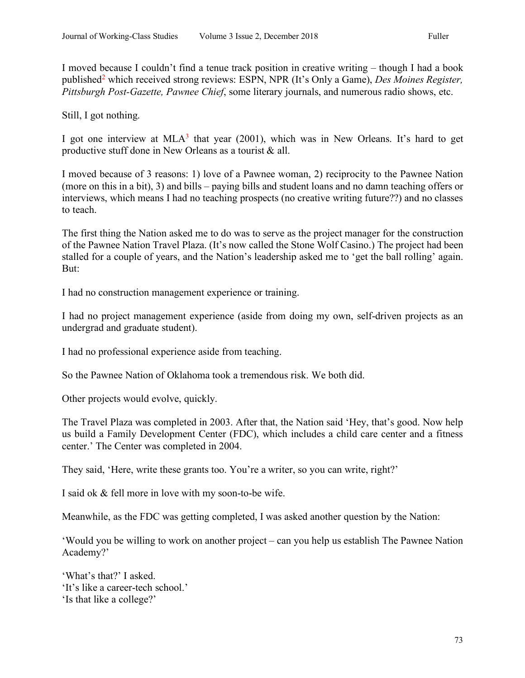I moved because I couldn't find a tenue track position in creative writing – though I had a book published<sup>2</sup> which received strong reviews: ESPN, NPR (It's Only a Game), *Des Moines Register*, *Pittsburgh Post-Gazette, Pawnee Chief*, some literary journals, and numerous radio shows, etc.

Still, I got nothing.

I got one interview at  $MLA<sup>3</sup>$  that year (2001), which was in New Orleans. It's hard to get productive stuff done in New Orleans as a tourist & all.

I moved because of 3 reasons: 1) love of a Pawnee woman, 2) reciprocity to the Pawnee Nation (more on this in a bit), 3) and bills – paying bills and student loans and no damn teaching offers or interviews, which means I had no teaching prospects (no creative writing future??) and no classes to teach.

The first thing the Nation asked me to do was to serve as the project manager for the construction of the Pawnee Nation Travel Plaza. (It's now called the Stone Wolf Casino.) The project had been stalled for a couple of years, and the Nation's leadership asked me to 'get the ball rolling' again. But:

I had no construction management experience or training.

I had no project management experience (aside from doing my own, self-driven projects as an undergrad and graduate student).

I had no professional experience aside from teaching.

So the Pawnee Nation of Oklahoma took a tremendous risk. We both did.

Other projects would evolve, quickly.

The Travel Plaza was completed in 2003. After that, the Nation said 'Hey, that's good. Now help us build a Family Development Center (FDC), which includes a child care center and a fitness center.' The Center was completed in 2004.

They said, 'Here, write these grants too. You're a writer, so you can write, right?'

I said ok & fell more in love with my soon-to-be wife.

Meanwhile, as the FDC was getting completed, I was asked another question by the Nation:

'Would you be willing to work on another project – can you help us establish The Pawnee Nation Academy?'

'What's that?' I asked. 'It's like a career-tech school.' 'Is that like a college?'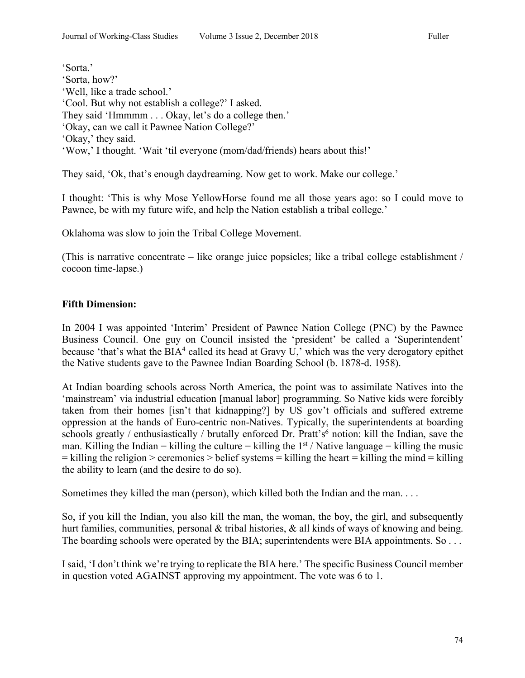'Sorta.' 'Sorta, how?' 'Well, like a trade school.' 'Cool. But why not establish a college?' I asked. They said 'Hmmmm . . . Okay, let's do a college then.' 'Okay, can we call it Pawnee Nation College?' 'Okay,' they said. 'Wow,' I thought. 'Wait 'til everyone (mom/dad/friends) hears about this!'

They said, 'Ok, that's enough daydreaming. Now get to work. Make our college.'

I thought: 'This is why Mose YellowHorse found me all those years ago: so I could move to Pawnee, be with my future wife, and help the Nation establish a tribal college.'

Oklahoma was slow to join the Tribal College Movement.

(This is narrative concentrate  $-$  like orange juice popsicles; like a tribal college establishment / cocoon time-lapse.)

## **Fifth Dimension:**

In 2004 I was appointed 'Interim' President of Pawnee Nation College (PNC) by the Pawnee Business Council. One guy on Council insisted the 'president' be called a 'Superintendent' because 'that's what the BIA<sup>4</sup> called its head at Gravy U,' which was the very derogatory epithet the Native students gave to the Pawnee Indian Boarding School (b. 1878-d. 1958).

At Indian boarding schools across North America, the point was to assimilate Natives into the 'mainstream' via industrial education [manual labor] programming. So Native kids were forcibly taken from their homes [isn't that kidnapping?] by US gov't officials and suffered extreme oppression at the hands of Euro-centric non-Natives. Typically, the superintendents at boarding schools greatly / enthusiastically / brutally enforced Dr. Pratt's<sup>6</sup> notion: kill the Indian, save the man. Killing the Indian = killing the culture = killing the  $1<sup>st</sup>$  / Native language = killing the music  $=$  killing the religion  $>$  ceremonies  $>$  belief systems  $=$  killing the heart  $=$  killing the mind  $=$  killing the ability to learn (and the desire to do so).

Sometimes they killed the man (person), which killed both the Indian and the man. . . .

So, if you kill the Indian, you also kill the man, the woman, the boy, the girl, and subsequently hurt families, communities, personal & tribal histories, & all kinds of ways of knowing and being. The boarding schools were operated by the BIA; superintendents were BIA appointments. So ...

I said, 'I don't think we're trying to replicate the BIA here.' The specific Business Council member in question voted AGAINST approving my appointment. The vote was 6 to 1.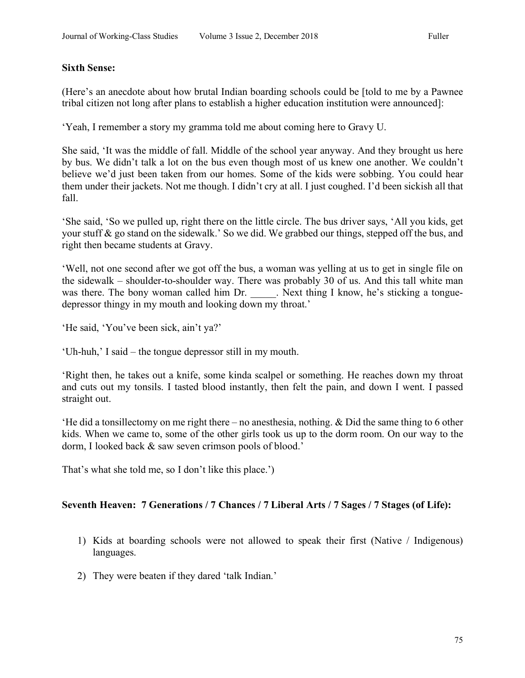#### **Sixth Sense:**

(Here's an anecdote about how brutal Indian boarding schools could be [told to me by a Pawnee tribal citizen not long after plans to establish a higher education institution were announced]:

'Yeah, I remember a story my gramma told me about coming here to Gravy U.

She said, 'It was the middle of fall. Middle of the school year anyway. And they brought us here by bus. We didn't talk a lot on the bus even though most of us knew one another. We couldn't believe we'd just been taken from our homes. Some of the kids were sobbing. You could hear them under their jackets. Not me though. I didn't cry at all. I just coughed. I'd been sickish all that fall.

'She said, 'So we pulled up, right there on the little circle. The bus driver says, 'All you kids, get your stuff & go stand on the sidewalk.' So we did. We grabbed our things, stepped off the bus, and right then became students at Gravy.

'Well, not one second after we got off the bus, a woman was yelling at us to get in single file on the sidewalk – shoulder-to-shoulder way. There was probably 30 of us. And this tall white man was there. The bony woman called him Dr. Next thing I know, he's sticking a tonguedepressor thingy in my mouth and looking down my throat.'

'He said, 'You've been sick, ain't ya?'

'Uh-huh,' I said – the tongue depressor still in my mouth.

'Right then, he takes out a knife, some kinda scalpel or something. He reaches down my throat and cuts out my tonsils. I tasted blood instantly, then felt the pain, and down I went. I passed straight out.

'He did a tonsillectomy on me right there – no anesthesia, nothing. & Did the same thing to 6 other kids. When we came to, some of the other girls took us up to the dorm room. On our way to the dorm, I looked back & saw seven crimson pools of blood.'

That's what she told me, so I don't like this place.')

## **Seventh Heaven: 7 Generations / 7 Chances / 7 Liberal Arts / 7 Sages / 7 Stages (of Life):**

- 1) Kids at boarding schools were not allowed to speak their first (Native / Indigenous) languages.
- 2) They were beaten if they dared 'talk Indian.'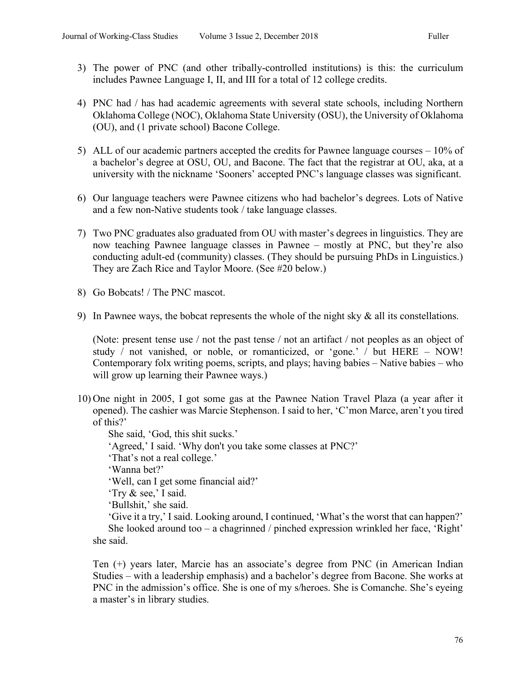- 3) The power of PNC (and other tribally-controlled institutions) is this: the curriculum includes Pawnee Language I, II, and III for a total of 12 college credits.
- 4) PNC had / has had academic agreements with several state schools, including Northern Oklahoma College (NOC), Oklahoma State University (OSU), the University of Oklahoma (OU), and (1 private school) Bacone College.
- 5) ALL of our academic partners accepted the credits for Pawnee language courses 10% of a bachelor's degree at OSU, OU, and Bacone. The fact that the registrar at OU, aka, at a university with the nickname 'Sooners' accepted PNC's language classes was significant.
- 6) Our language teachers were Pawnee citizens who had bachelor's degrees. Lots of Native and a few non-Native students took / take language classes.
- 7) Two PNC graduates also graduated from OU with master's degrees in linguistics. They are now teaching Pawnee language classes in Pawnee – mostly at PNC, but they're also conducting adult-ed (community) classes. (They should be pursuing PhDs in Linguistics.) They are Zach Rice and Taylor Moore. (See #20 below.)
- 8) Go Bobcats! / The PNC mascot.
- 9) In Pawnee ways, the bobcat represents the whole of the night sky  $\&$  all its constellations.

(Note: present tense use / not the past tense / not an artifact / not peoples as an object of study / not vanished, or noble, or romanticized, or 'gone.' / but HERE – NOW! Contemporary folx writing poems, scripts, and plays; having babies – Native babies – who will grow up learning their Pawnee ways.)

10) One night in 2005, I got some gas at the Pawnee Nation Travel Plaza (a year after it opened). The cashier was Marcie Stephenson. I said to her, 'C'mon Marce, aren't you tired of this?'

She said, 'God, this shit sucks.' 'Agreed,' I said. 'Why don't you take some classes at PNC?' 'That's not a real college.' 'Wanna bet?' 'Well, can I get some financial aid?' 'Try & see,' I said. 'Bullshit,' she said. 'Give it a try,' I said. Looking around, I continued, 'What's the worst that can happen?' She looked around too – a chagrinned / pinched expression wrinkled her face, 'Right' she said.

Ten (+) years later, Marcie has an associate's degree from PNC (in American Indian Studies – with a leadership emphasis) and a bachelor's degree from Bacone. She works at PNC in the admission's office. She is one of my s/heroes. She is Comanche. She's eyeing a master's in library studies.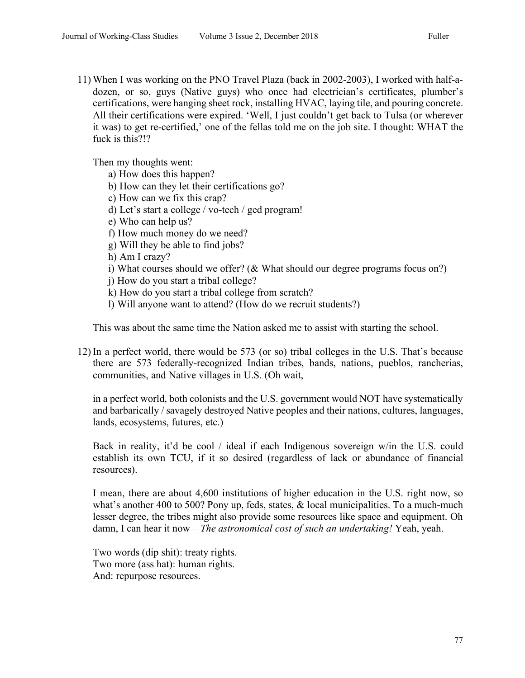11) When I was working on the PNO Travel Plaza (back in 2002-2003), I worked with half-adozen, or so, guys (Native guys) who once had electrician's certificates, plumber's certifications, were hanging sheet rock, installing HVAC, laying tile, and pouring concrete. All their certifications were expired. 'Well, I just couldn't get back to Tulsa (or wherever it was) to get re-certified,' one of the fellas told me on the job site. I thought: WHAT the fuck is this?!?

Then my thoughts went:

- a) How does this happen?
- b) How can they let their certifications go?
- c) How can we fix this crap?
- d) Let's start a college / vo-tech / ged program!
- e) Who can help us?
- f) How much money do we need?
- g) Will they be able to find jobs?
- h) Am I crazy?
- i) What courses should we offer? (& What should our degree programs focus on?)

j) How do you start a tribal college?

- k) How do you start a tribal college from scratch?
- l) Will anyone want to attend? (How do we recruit students?)

This was about the same time the Nation asked me to assist with starting the school.

12) In a perfect world, there would be 573 (or so) tribal colleges in the U.S. That's because there are 573 federally-recognized Indian tribes, bands, nations, pueblos, rancherias, communities, and Native villages in U.S. (Oh wait,

in a perfect world, both colonists and the U.S. government would NOT have systematically and barbarically / savagely destroyed Native peoples and their nations, cultures, languages, lands, ecosystems, futures, etc.)

Back in reality, it'd be cool / ideal if each Indigenous sovereign w/in the U.S. could establish its own TCU, if it so desired (regardless of lack or abundance of financial resources).

I mean, there are about 4,600 institutions of higher education in the U.S. right now, so what's another 400 to 500? Pony up, feds, states, & local municipalities. To a much-much lesser degree, the tribes might also provide some resources like space and equipment. Oh damn, I can hear it now – *The astronomical cost of such an undertaking!* Yeah, yeah.

Two words (dip shit): treaty rights. Two more (ass hat): human rights. And: repurpose resources.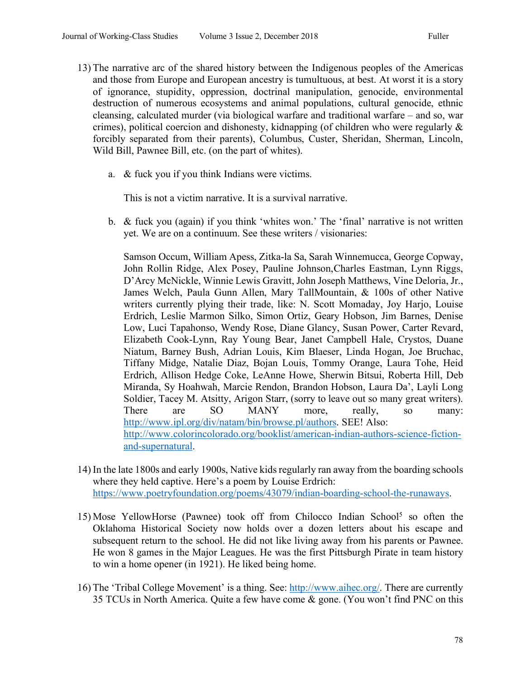- 13) The narrative arc of the shared history between the Indigenous peoples of the Americas and those from Europe and European ancestry is tumultuous, at best. At worst it is a story of ignorance, stupidity, oppression, doctrinal manipulation, genocide, environmental destruction of numerous ecosystems and animal populations, cultural genocide, ethnic cleansing, calculated murder (via biological warfare and traditional warfare – and so, war crimes), political coercion and dishonesty, kidnapping (of children who were regularly  $\&$ forcibly separated from their parents), Columbus, Custer, Sheridan, Sherman, Lincoln, Wild Bill, Pawnee Bill, etc. (on the part of whites).
	- a. & fuck you if you think Indians were victims.

This is not a victim narrative. It is a survival narrative.

b. & fuck you (again) if you think 'whites won.' The 'final' narrative is not written yet. We are on a continuum. See these writers / visionaries:

Samson Occum, William Apess, Zitka-la Sa, Sarah Winnemucca, George Copway, John Rollin Ridge, Alex Posey, Pauline Johnson,Charles Eastman, Lynn Riggs, D'Arcy McNickle, Winnie Lewis Gravitt, John Joseph Matthews, Vine Deloria, Jr., James Welch, Paula Gunn Allen, Mary TallMountain, & 100s of other Native writers currently plying their trade, like: N. Scott Momaday, Joy Harjo, Louise Erdrich, Leslie Marmon Silko, Simon Ortiz, Geary Hobson, Jim Barnes, Denise Low, Luci Tapahonso, Wendy Rose, Diane Glancy, Susan Power, Carter Revard, Elizabeth Cook-Lynn, Ray Young Bear, Janet Campbell Hale, Crystos, Duane Niatum, Barney Bush, Adrian Louis, Kim Blaeser, Linda Hogan, Joe Bruchac, Tiffany Midge, Natalie Diaz, Bojan Louis, Tommy Orange, Laura Tohe, Heid Erdrich, Allison Hedge Coke, LeAnne Howe, Sherwin Bitsui, Roberta Hill, Deb Miranda, Sy Hoahwah, Marcie Rendon, Brandon Hobson, Laura Da', Layli Long Soldier, Tacey M. Atsitty, Arigon Starr, (sorry to leave out so many great writers). There are SO MANY more, really, so many: http://www.ipl.org/div/natam/bin/browse.pl/authors. SEE! Also: http://www.colorincolorado.org/booklist/american-indian-authors-science-fictionand-supernatural.

- 14) In the late 1800s and early 1900s, Native kids regularly ran away from the boarding schools where they held captive. Here's a poem by Louise Erdrich: https://www.poetryfoundation.org/poems/43079/indian-boarding-school-the-runaways.
- 15) Mose YellowHorse (Pawnee) took off from Chilocco Indian School<sup>5</sup> so often the Oklahoma Historical Society now holds over a dozen letters about his escape and subsequent return to the school. He did not like living away from his parents or Pawnee. He won 8 games in the Major Leagues. He was the first Pittsburgh Pirate in team history to win a home opener (in 1921). He liked being home.
- 16) The 'Tribal College Movement' is a thing. See: http://www.aihec.org/. There are currently 35 TCUs in North America. Quite a few have come & gone. (You won't find PNC on this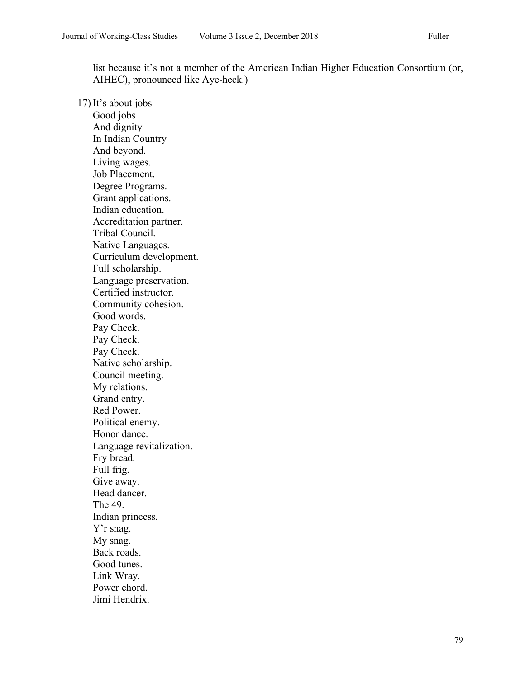list because it's not a member of the American Indian Higher Education Consortium (or, AIHEC), pronounced like Aye-heck.)

17) It's about jobs  $-$ Good jobs – And dignity In Indian Country And beyond. Living wages. Job Placement. Degree Programs. Grant applications. Indian education. Accreditation partner. Tribal Council. Native Languages. Curriculum development. Full scholarship. Language preservation. Certified instructor. Community cohesion. Good words. Pay Check. Pay Check. Pay Check. Native scholarship. Council meeting. My relations. Grand entry. Red Power. Political enemy. Honor dance. Language revitalization. Fry bread. Full frig. Give away. Head dancer. The 49. Indian princess. Y'r snag. My snag. Back roads. Good tunes. Link Wray. Power chord. Jimi Hendrix.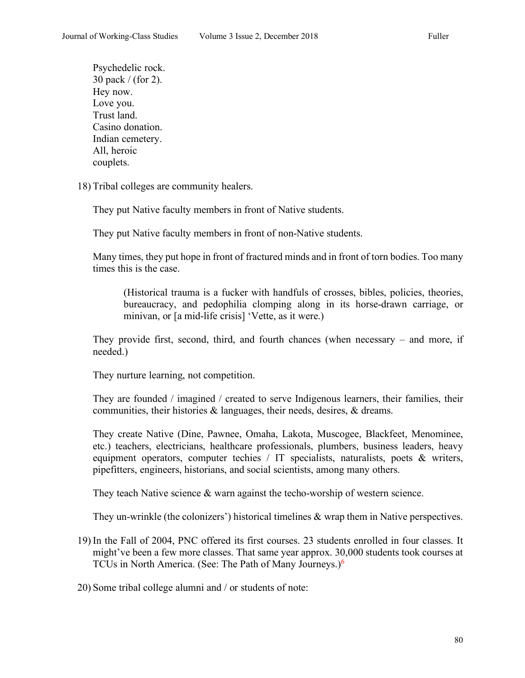Psychedelic rock. 30 pack / (for 2). Hey now. Love you. Trust land. Casino donation. Indian cemetery. All, heroic couplets.

18) Tribal colleges are community healers.

They put Native faculty members in front of Native students.

They put Native faculty members in front of non-Native students.

Many times, they put hope in front of fractured minds and in front of torn bodies. Too many times this is the case.

(Historical trauma is a fucker with handfuls of crosses, bibles, policies, theories, bureaucracy, and pedophilia clomping along in its horse-drawn carriage, or minivan, or [a mid-life crisis] 'Vette, as it were.)

They provide first, second, third, and fourth chances (when necessary – and more, if needed.)

They nurture learning, not competition.

They are founded / imagined / created to serve Indigenous learners, their families, their communities, their histories & languages, their needs, desires, & dreams.

They create Native (Dine, Pawnee, Omaha, Lakota, Muscogee, Blackfeet, Menominee, etc.) teachers, electricians, healthcare professionals, plumbers, business leaders, heavy equipment operators, computer techies / IT specialists, naturalists, poets & writers, pipefitters, engineers, historians, and social scientists, among many others.

They teach Native science  $\&$  warn against the techo-worship of western science.

They un-wrinkle (the colonizers') historical timelines & wrap them in Native perspectives.

19) In the Fall of 2004, PNC offered its first courses. 23 students enrolled in four classes. It might've been a few more classes. That same year approx. 30,000 students took courses at TCUs in North America. (See: The Path of Many Journeys.)<sup>6</sup>

20) Some tribal college alumni and / or students of note: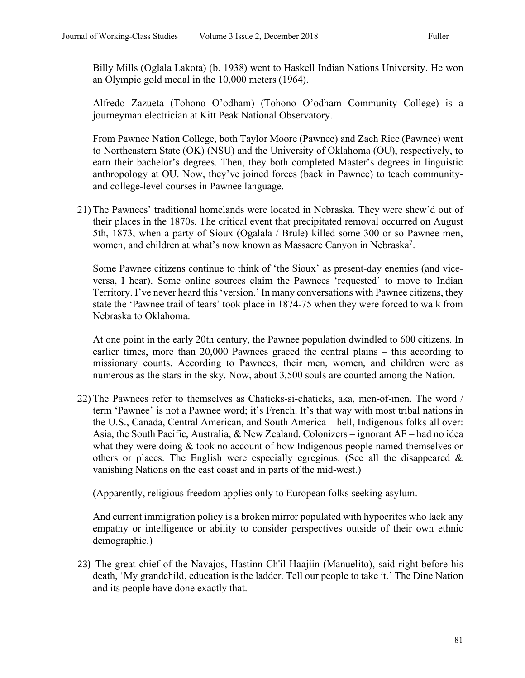Billy Mills (Oglala Lakota) (b. 1938) went to Haskell Indian Nations University. He won an Olympic gold medal in the 10,000 meters (1964).

Alfredo Zazueta (Tohono O'odham) (Tohono O'odham Community College) is a journeyman electrician at Kitt Peak National Observatory.

From Pawnee Nation College, both Taylor Moore (Pawnee) and Zach Rice (Pawnee) went to Northeastern State (OK) (NSU) and the University of Oklahoma (OU), respectively, to earn their bachelor's degrees. Then, they both completed Master's degrees in linguistic anthropology at OU. Now, they've joined forces (back in Pawnee) to teach communityand college-level courses in Pawnee language.

21) The Pawnees' traditional homelands were located in Nebraska. They were shew'd out of their places in the 1870s. The critical event that precipitated removal occurred on August 5th, 1873, when a party of Sioux (Ogalala / Brule) killed some 300 or so Pawnee men, women, and children at what's now known as Massacre Canyon in Nebraska<sup>7</sup>.

Some Pawnee citizens continue to think of 'the Sioux' as present-day enemies (and viceversa, I hear). Some online sources claim the Pawnees 'requested' to move to Indian Territory. I've never heard this 'version.' In many conversations with Pawnee citizens, they state the 'Pawnee trail of tears' took place in 1874-75 when they were forced to walk from Nebraska to Oklahoma.

At one point in the early 20th century, the Pawnee population dwindled to 600 citizens. In earlier times, more than 20,000 Pawnees graced the central plains – this according to missionary counts. According to Pawnees, their men, women, and children were as numerous as the stars in the sky. Now, about 3,500 souls are counted among the Nation.

22) The Pawnees refer to themselves as Chaticks-si-chaticks, aka, men-of-men. The word / term 'Pawnee' is not a Pawnee word; it's French. It's that way with most tribal nations in the U.S., Canada, Central American, and South America – hell, Indigenous folks all over: Asia, the South Pacific, Australia, & New Zealand. Colonizers – ignorant AF – had no idea what they were doing & took no account of how Indigenous people named themselves or others or places. The English were especially egregious. (See all the disappeared  $\&$ vanishing Nations on the east coast and in parts of the mid-west.)

(Apparently, religious freedom applies only to European folks seeking asylum.

And current immigration policy is a broken mirror populated with hypocrites who lack any empathy or intelligence or ability to consider perspectives outside of their own ethnic demographic.)

23) The great chief of the Navajos, Hastinn Ch'il Haajiin (Manuelito), said right before his death, 'My grandchild, education is the ladder. Tell our people to take it.' The Dine Nation and its people have done exactly that.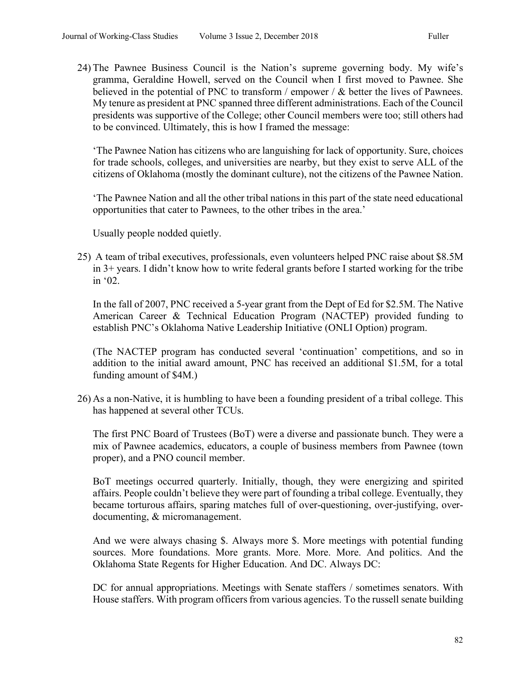24) The Pawnee Business Council is the Nation's supreme governing body. My wife's gramma, Geraldine Howell, served on the Council when I first moved to Pawnee. She believed in the potential of PNC to transform / empower /  $\&$  better the lives of Pawnees. My tenure as president at PNC spanned three different administrations. Each of the Council presidents was supportive of the College; other Council members were too; still others had to be convinced. Ultimately, this is how I framed the message:

'The Pawnee Nation has citizens who are languishing for lack of opportunity. Sure, choices for trade schools, colleges, and universities are nearby, but they exist to serve ALL of the citizens of Oklahoma (mostly the dominant culture), not the citizens of the Pawnee Nation.

'The Pawnee Nation and all the other tribal nations in this part of the state need educational opportunities that cater to Pawnees, to the other tribes in the area.'

Usually people nodded quietly.

25) A team of tribal executives, professionals, even volunteers helped PNC raise about \$8.5M in 3+ years. I didn't know how to write federal grants before I started working for the tribe in '02.

In the fall of 2007, PNC received a 5-year grant from the Dept of Ed for \$2.5M. The Native American Career & Technical Education Program (NACTEP) provided funding to establish PNC's Oklahoma Native Leadership Initiative (ONLI Option) program.

(The NACTEP program has conducted several 'continuation' competitions, and so in addition to the initial award amount, PNC has received an additional \$1.5M, for a total funding amount of \$4M.)

26) As a non-Native, it is humbling to have been a founding president of a tribal college. This has happened at several other TCUs.

The first PNC Board of Trustees (BoT) were a diverse and passionate bunch. They were a mix of Pawnee academics, educators, a couple of business members from Pawnee (town proper), and a PNO council member.

BoT meetings occurred quarterly. Initially, though, they were energizing and spirited affairs. People couldn't believe they were part of founding a tribal college. Eventually, they became torturous affairs, sparing matches full of over-questioning, over-justifying, overdocumenting, & micromanagement.

And we were always chasing \$. Always more \$. More meetings with potential funding sources. More foundations. More grants. More. More. More. And politics. And the Oklahoma State Regents for Higher Education. And DC. Always DC:

DC for annual appropriations. Meetings with Senate staffers / sometimes senators. With House staffers. With program officers from various agencies. To the russell senate building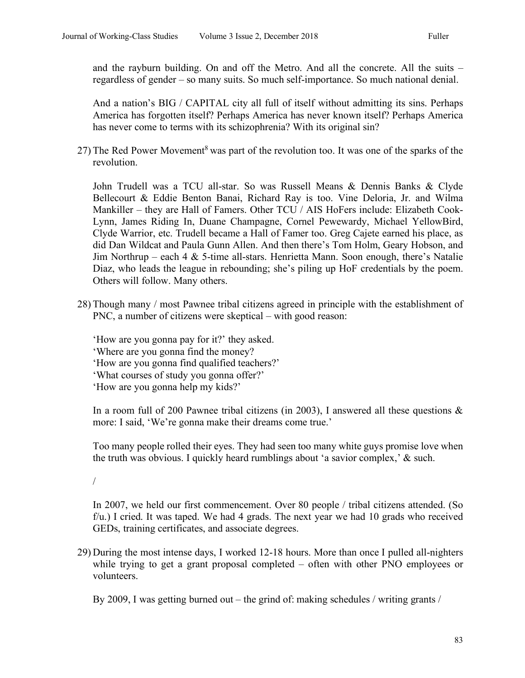and the rayburn building. On and off the Metro. And all the concrete. All the suits – regardless of gender – so many suits. So much self-importance. So much national denial.

And a nation's BIG / CAPITAL city all full of itself without admitting its sins. Perhaps America has forgotten itself? Perhaps America has never known itself? Perhaps America has never come to terms with its schizophrenia? With its original sin?

27) The Red Power Movement<sup>8</sup> was part of the revolution too. It was one of the sparks of the revolution.

John Trudell was a TCU all-star. So was Russell Means & Dennis Banks & Clyde Bellecourt & Eddie Benton Banai, Richard Ray is too. Vine Deloria, Jr. and Wilma Mankiller – they are Hall of Famers. Other TCU / AIS HoFers include: Elizabeth Cook-Lynn, James Riding In, Duane Champagne, Cornel Pewewardy, Michael YellowBird, Clyde Warrior, etc. Trudell became a Hall of Famer too. Greg Cajete earned his place, as did Dan Wildcat and Paula Gunn Allen. And then there's Tom Holm, Geary Hobson, and Jim Northrup – each 4  $\&$  5-time all-stars. Henrietta Mann. Soon enough, there's Natalie Diaz, who leads the league in rebounding; she's piling up HoF credentials by the poem. Others will follow. Many others.

28) Though many / most Pawnee tribal citizens agreed in principle with the establishment of PNC, a number of citizens were skeptical – with good reason:

'How are you gonna pay for it?' they asked. 'Where are you gonna find the money? 'How are you gonna find qualified teachers?'

'What courses of study you gonna offer?'

'How are you gonna help my kids?'

In a room full of 200 Pawnee tribal citizens (in 2003), I answered all these questions  $\&$ more: I said, 'We're gonna make their dreams come true.'

Too many people rolled their eyes. They had seen too many white guys promise love when the truth was obvious. I quickly heard rumblings about 'a savior complex,' & such.

/

In 2007, we held our first commencement. Over 80 people / tribal citizens attended. (So f/u.) I cried. It was taped. We had 4 grads. The next year we had 10 grads who received GEDs, training certificates, and associate degrees.

29) During the most intense days, I worked 12-18 hours. More than once I pulled all-nighters while trying to get a grant proposal completed – often with other PNO employees or volunteers.

By 2009, I was getting burned out – the grind of: making schedules / writing grants /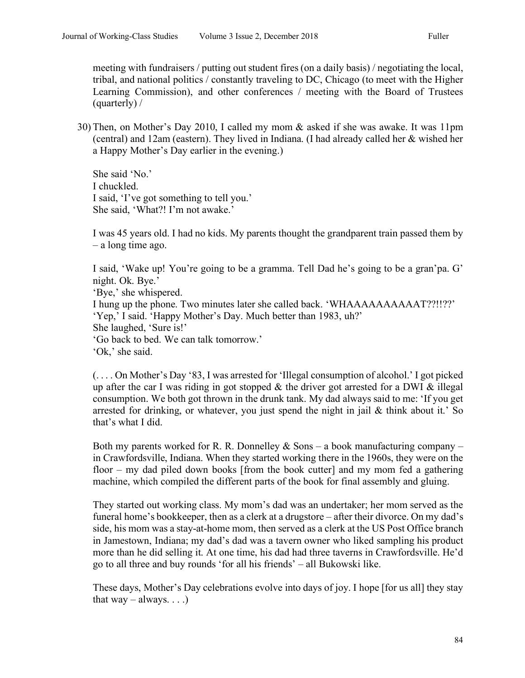meeting with fundraisers / putting out student fires (on a daily basis) / negotiating the local, tribal, and national politics / constantly traveling to DC, Chicago (to meet with the Higher Learning Commission), and other conferences / meeting with the Board of Trustees (quarterly) /

30) Then, on Mother's Day 2010, I called my mom & asked if she was awake. It was 11pm (central) and 12am (eastern). They lived in Indiana. (I had already called her & wished her a Happy Mother's Day earlier in the evening.)

She said 'No.' I chuckled. I said, 'I've got something to tell you.' She said, 'What?! I'm not awake.'

I was 45 years old. I had no kids. My parents thought the grandparent train passed them by – a long time ago.

I said, 'Wake up! You're going to be a gramma. Tell Dad he's going to be a gran'pa. G' night. Ok. Bye.'

'Bye,' she whispered.

I hung up the phone. Two minutes later she called back. 'WHAAAAAAAAAAT??!!??' 'Yep,' I said. 'Happy Mother's Day. Much better than 1983, uh?'

She laughed, 'Sure is!'

'Go back to bed. We can talk tomorrow.'

'Ok,' she said.

(. . . . On Mother's Day '83, I was arrested for 'Illegal consumption of alcohol.' I got picked up after the car I was riding in got stopped  $\&$  the driver got arrested for a DWI  $\&$  illegal consumption. We both got thrown in the drunk tank. My dad always said to me: 'If you get arrested for drinking, or whatever, you just spend the night in jail  $\&$  think about it.' So that's what I did.

Both my parents worked for R. R. Donnelley  $& Sons - a book manufacturing company$ in Crawfordsville, Indiana. When they started working there in the 1960s, they were on the floor – my dad piled down books [from the book cutter] and my mom fed a gathering machine, which compiled the different parts of the book for final assembly and gluing.

They started out working class. My mom's dad was an undertaker; her mom served as the funeral home's bookkeeper, then as a clerk at a drugstore – after their divorce. On my dad's side, his mom was a stay-at-home mom, then served as a clerk at the US Post Office branch in Jamestown, Indiana; my dad's dad was a tavern owner who liked sampling his product more than he did selling it. At one time, his dad had three taverns in Crawfordsville. He'd go to all three and buy rounds 'for all his friends' – all Bukowski like.

These days, Mother's Day celebrations evolve into days of joy. I hope [for us all] they stay that  $way - always...$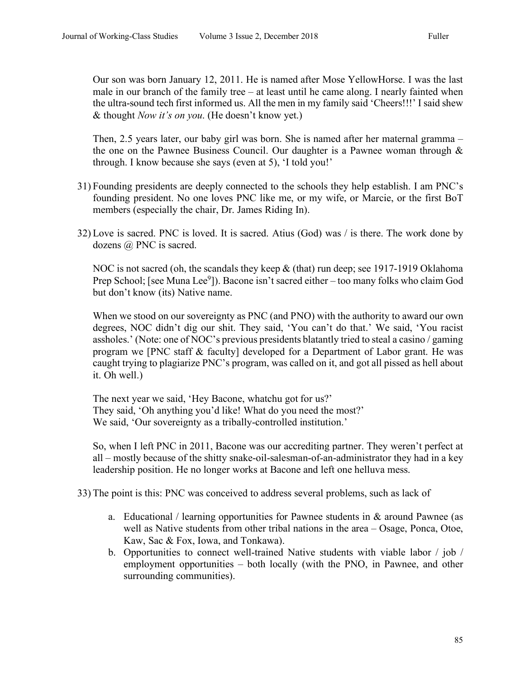Our son was born January 12, 2011. He is named after Mose YellowHorse. I was the last male in our branch of the family tree – at least until he came along. I nearly fainted when the ultra-sound tech first informed us. All the men in my family said 'Cheers!!!' I said shew & thought *Now it's on you*. (He doesn't know yet.)

Then, 2.5 years later, our baby girl was born. She is named after her maternal gramma – the one on the Pawnee Business Council. Our daughter is a Pawnee woman through & through. I know because she says (even at 5), 'I told you!'

- 31) Founding presidents are deeply connected to the schools they help establish. I am PNC's founding president. No one loves PNC like me, or my wife, or Marcie, or the first BoT members (especially the chair, Dr. James Riding In).
- 32) Love is sacred. PNC is loved. It is sacred. Atius (God) was / is there. The work done by dozens @ PNC is sacred.

NOC is not sacred (oh, the scandals they keep  $&$  (that) run deep; see 1917-1919 Oklahoma Prep School; [see Muna Lee<sup>9</sup>]). Bacone isn't sacred either – too many folks who claim God but don't know (its) Native name.

When we stood on our sovereignty as PNC (and PNO) with the authority to award our own degrees, NOC didn't dig our shit. They said, 'You can't do that.' We said, 'You racist assholes.' (Note: one of NOC's previous presidents blatantly tried to steal a casino / gaming program we [PNC staff & faculty] developed for a Department of Labor grant. He was caught trying to plagiarize PNC's program, was called on it, and got all pissed as hell about it. Oh well.)

The next year we said, 'Hey Bacone, whatchu got for us?' They said, 'Oh anything you'd like! What do you need the most?' We said, 'Our sovereignty as a tribally-controlled institution.'

So, when I left PNC in 2011, Bacone was our accrediting partner. They weren't perfect at all – mostly because of the shitty snake-oil-salesman-of-an-administrator they had in a key leadership position. He no longer works at Bacone and left one helluva mess.

- 33) The point is this: PNC was conceived to address several problems, such as lack of
	- a. Educational / learning opportunities for Pawnee students in  $\&$  around Pawnee (as well as Native students from other tribal nations in the area – Osage, Ponca, Otoe, Kaw, Sac & Fox, Iowa, and Tonkawa).
	- b. Opportunities to connect well-trained Native students with viable labor / job / employment opportunities – both locally (with the PNO, in Pawnee, and other surrounding communities).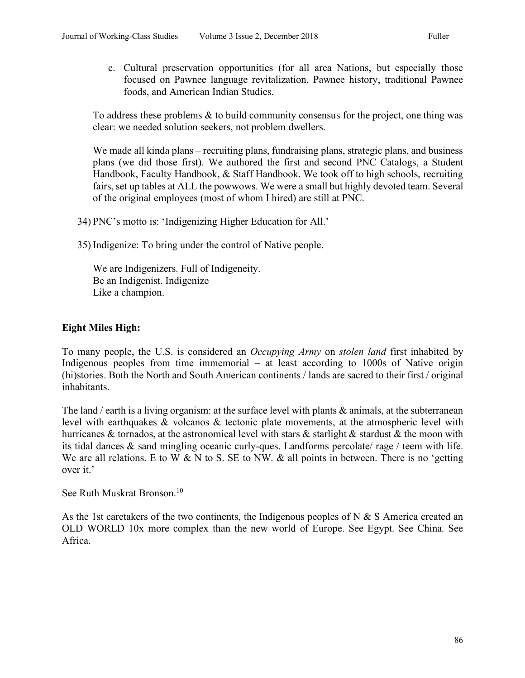c. Cultural preservation opportunities (for all area Nations, but especially those focused on Pawnee language revitalization, Pawnee history, traditional Pawnee foods, and American Indian Studies.

To address these problems & to build community consensus for the project, one thing was clear: we needed solution seekers, not problem dwellers.

We made all kinda plans – recruiting plans, fundraising plans, strategic plans, and business plans (we did those first). We authored the first and second PNC Catalogs, a Student Handbook, Faculty Handbook, & Staff Handbook. We took off to high schools, recruiting fairs, set up tables at ALL the powwows. We were a small but highly devoted team. Several of the original employees (most of whom I hired) are still at PNC.

- 34) PNC's motto is: 'Indigenizing Higher Education for All.'
- 35) Indigenize: To bring under the control of Native people.

We are Indigenizers. Full of Indigeneity. Be an Indigenist. Indigenize Like a champion.

# **Eight Miles High:**

To many people, the U.S. is considered an *Occupying Army* on *stolen land* first inhabited by Indigenous peoples from time immemorial – at least according to 1000s of Native origin (hi)stories. Both the North and South American continents / lands are sacred to their first / original inhabitants.

The land / earth is a living organism: at the surface level with plants & animals, at the subterranean level with earthquakes & volcanos & tectonic plate movements, at the atmospheric level with hurricanes & tornados, at the astronomical level with stars & starlight & stardust & the moon with its tidal dances & sand mingling oceanic curly-ques. Landforms percolate/ rage / teem with life. We are all relations. E to W  $&N$  to S. SE to NW.  $&all$  points in between. There is no 'getting over it.'

See Ruth Muskrat Bronson.<sup>10</sup>

As the 1st caretakers of the two continents, the Indigenous peoples of N  $\&$  S America created an OLD WORLD 10x more complex than the new world of Europe. See Egypt. See China. See Africa.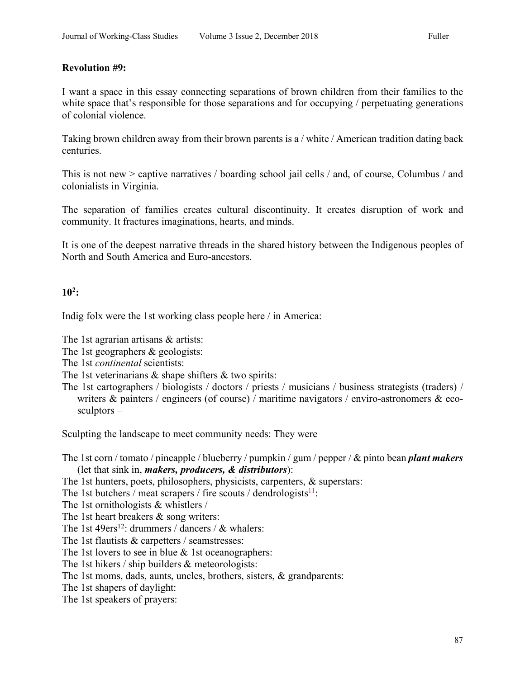## **Revolution #9:**

I want a space in this essay connecting separations of brown children from their families to the white space that's responsible for those separations and for occupying / perpetuating generations of colonial violence.

Taking brown children away from their brown parents is a / white / American tradition dating back centuries.

This is not new > captive narratives / boarding school jail cells / and, of course, Columbus / and colonialists in Virginia.

The separation of families creates cultural discontinuity. It creates disruption of work and community. It fractures imaginations, hearts, and minds.

It is one of the deepest narrative threads in the shared history between the Indigenous peoples of North and South America and Euro-ancestors.

## **102:**

Indig folx were the 1st working class people here / in America:

The 1st agrarian artisans & artists:

- The 1st geographers & geologists:
- The 1st *continental* scientists:
- The 1st veterinarians  $\&$  shape shifters  $\&$  two spirits:
- The 1st cartographers / biologists / doctors / priests / musicians / business strategists (traders) / writers  $\&$  painters / engineers (of course) / maritime navigators / enviro-astronomers  $\&$  ecosculptors –

Sculpting the landscape to meet community needs: They were

The 1st corn / tomato / pineapple / blueberry / pumpkin / gum / pepper / & pinto bean *plant makers* (let that sink in, *makers, producers, & distributors*):

- The 1st hunters, poets, philosophers, physicists, carpenters, & superstars:
- The 1st butchers / meat scrapers / fire scouts / dendrologists $11$ :

The 1st ornithologists & whistlers /

The 1st heart breakers & song writers:

- The 1st 49ers<sup>12</sup>: drummers / dancers /  $\&$  whalers:
- The 1st flautists & carpetters / seamstresses:

The 1st lovers to see in blue  $&$  1st oceanographers:

The 1st hikers / ship builders & meteorologists:

The 1st moms, dads, aunts, uncles, brothers, sisters, & grandparents:

The 1st shapers of daylight:

The 1st speakers of prayers: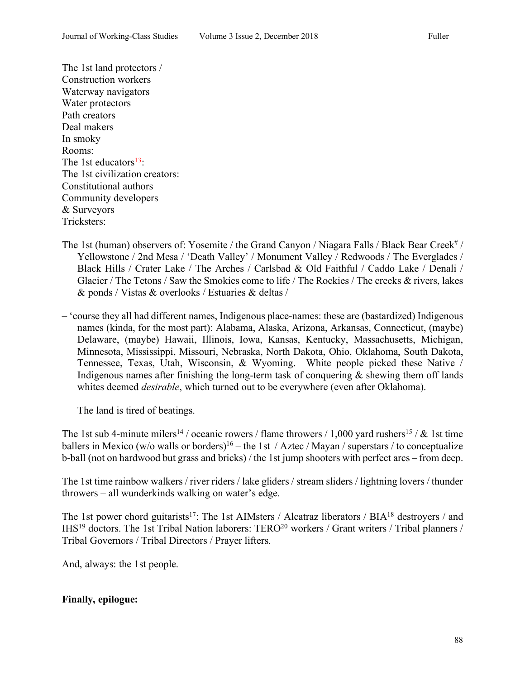The 1st land protectors / Construction workers Waterway navigators Water protectors Path creators Deal makers In smoky Rooms: The 1st educators $13$ : The 1st civilization creators: Constitutional authors Community developers & Surveyors Tricksters:

- The 1st (human) observers of: Yosemite / the Grand Canyon / Niagara Falls / Black Bear Creek<sup>#</sup> / Yellowstone / 2nd Mesa / 'Death Valley' / Monument Valley / Redwoods / The Everglades / Black Hills / Crater Lake / The Arches / Carlsbad & Old Faithful / Caddo Lake / Denali / Glacier / The Tetons / Saw the Smokies come to life / The Rockies / The creeks & rivers, lakes & ponds / Vistas & overlooks / Estuaries & deltas /
- 'course they all had different names, Indigenous place-names: these are (bastardized) Indigenous names (kinda, for the most part): Alabama, Alaska, Arizona, Arkansas, Connecticut, (maybe) Delaware, (maybe) Hawaii, Illinois, Iowa, Kansas, Kentucky, Massachusetts, Michigan, Minnesota, Mississippi, Missouri, Nebraska, North Dakota, Ohio, Oklahoma, South Dakota, Tennessee, Texas, Utah, Wisconsin, & Wyoming. White people picked these Native / Indigenous names after finishing the long-term task of conquering  $\&$  shewing them off lands whites deemed *desirable*, which turned out to be everywhere (even after Oklahoma).

The land is tired of beatings.

The 1st sub 4-minute milers<sup>14</sup> / oceanic rowers / flame throwers / 1,000 yard rushers<sup>15</sup> /  $\&$  1st time ballers in Mexico (w/o walls or borders)<sup>16</sup> – the 1st / Aztec / Mayan / superstars / to conceptualize b-ball (not on hardwood but grass and bricks) / the 1st jump shooters with perfect arcs – from deep.

The 1st time rainbow walkers / river riders / lake gliders / stream sliders / lightning lovers / thunder throwers – all wunderkinds walking on water's edge.

The 1st power chord guitarists<sup>17</sup>: The 1st AIMsters / Alcatraz liberators / BIA<sup>18</sup> destroyers / and IHS<sup>19</sup> doctors. The 1st Tribal Nation laborers: TERO<sup>20</sup> workers / Grant writers / Tribal planners / Tribal Governors / Tribal Directors / Prayer lifters.

And, always: the 1st people.

#### **Finally, epilogue:**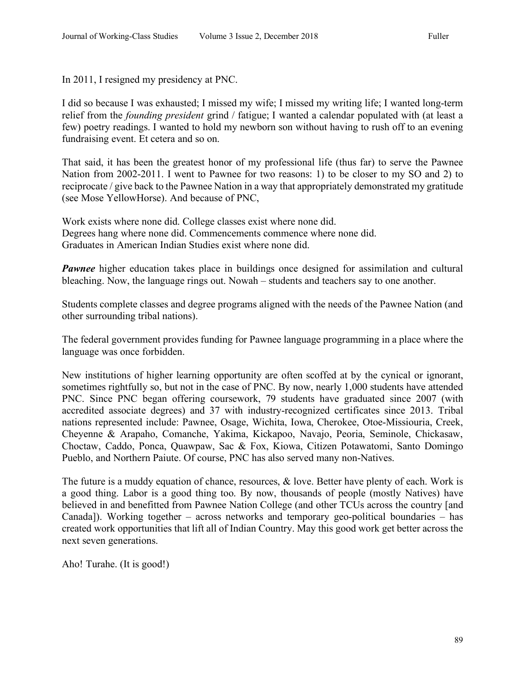In 2011, I resigned my presidency at PNC.

I did so because I was exhausted; I missed my wife; I missed my writing life; I wanted long-term relief from the *founding president* grind / fatigue; I wanted a calendar populated with (at least a few) poetry readings. I wanted to hold my newborn son without having to rush off to an evening fundraising event. Et cetera and so on.

That said, it has been the greatest honor of my professional life (thus far) to serve the Pawnee Nation from 2002-2011. I went to Pawnee for two reasons: 1) to be closer to my SO and 2) to reciprocate / give back to the Pawnee Nation in a way that appropriately demonstrated my gratitude (see Mose YellowHorse). And because of PNC,

Work exists where none did. College classes exist where none did. Degrees hang where none did. Commencements commence where none did. Graduates in American Indian Studies exist where none did.

*Pawnee* higher education takes place in buildings once designed for assimilation and cultural bleaching. Now, the language rings out. Nowah – students and teachers say to one another.

Students complete classes and degree programs aligned with the needs of the Pawnee Nation (and other surrounding tribal nations).

The federal government provides funding for Pawnee language programming in a place where the language was once forbidden.

New institutions of higher learning opportunity are often scoffed at by the cynical or ignorant, sometimes rightfully so, but not in the case of PNC. By now, nearly 1,000 students have attended PNC. Since PNC began offering coursework, 79 students have graduated since 2007 (with accredited associate degrees) and 37 with industry-recognized certificates since 2013. Tribal nations represented include: Pawnee, Osage, Wichita, Iowa, Cherokee, Otoe-Missiouria, Creek, Cheyenne & Arapaho, Comanche, Yakima, Kickapoo, Navajo, Peoria, Seminole, Chickasaw, Choctaw, Caddo, Ponca, Quawpaw, Sac & Fox, Kiowa, Citizen Potawatomi, Santo Domingo Pueblo, and Northern Paiute. Of course, PNC has also served many non-Natives.

The future is a muddy equation of chance, resources, & love. Better have plenty of each. Work is a good thing. Labor is a good thing too. By now, thousands of people (mostly Natives) have believed in and benefitted from Pawnee Nation College (and other TCUs across the country [and Canada]). Working together – across networks and temporary geo-political boundaries – has created work opportunities that lift all of Indian Country. May this good work get better across the next seven generations.

Aho! Turahe. (It is good!)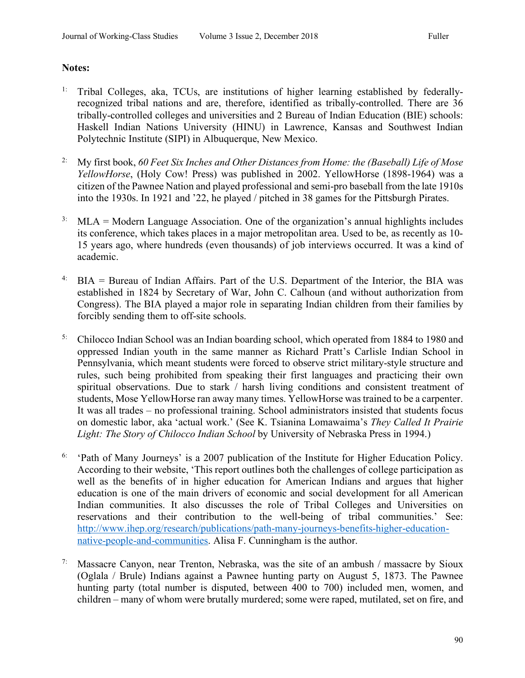# **Notes:**

- <sup>1:</sup> Tribal Colleges, aka, TCUs, are institutions of higher learning established by federallyrecognized tribal nations and are, therefore, identified as tribally-controlled. There are 36 tribally-controlled colleges and universities and 2 Bureau of Indian Education (BIE) schools: Haskell Indian Nations University (HINU) in Lawrence, Kansas and Southwest Indian Polytechnic Institute (SIPI) in Albuquerque, New Mexico.
- 2: My first book, *60 Feet Six Inches and Other Distances from Home: the (Baseball) Life of Mose YellowHorse*, (Holy Cow! Press) was published in 2002. YellowHorse (1898-1964) was a citizen of the Pawnee Nation and played professional and semi-pro baseball from the late 1910s into the 1930s. In 1921 and '22, he played / pitched in 38 games for the Pittsburgh Pirates.
- <sup>3:</sup> MLA = Modern Language Association. One of the organization's annual highlights includes its conference, which takes places in a major metropolitan area. Used to be, as recently as 10- 15 years ago, where hundreds (even thousands) of job interviews occurred. It was a kind of academic.
- <sup>4:</sup> BIA = Bureau of Indian Affairs. Part of the U.S. Department of the Interior, the BIA was established in 1824 by Secretary of War, John C. Calhoun (and without authorization from Congress). The BIA played a major role in separating Indian children from their families by forcibly sending them to off-site schools.
- <sup>5:</sup> Chilocco Indian School was an Indian boarding school, which operated from 1884 to 1980 and oppressed Indian youth in the same manner as Richard Pratt's Carlisle Indian School in Pennsylvania, which meant students were forced to observe strict military-style structure and rules, such being prohibited from speaking their first languages and practicing their own spiritual observations. Due to stark / harsh living conditions and consistent treatment of students, Mose YellowHorse ran away many times. YellowHorse was trained to be a carpenter. It was all trades – no professional training. School administrators insisted that students focus on domestic labor, aka 'actual work.' (See K. Tsianina Lomawaima's *They Called It Prairie Light: The Story of Chilocco Indian School* by University of Nebraska Press in 1994.)
- $6:$  'Path of Many Journeys' is a 2007 publication of the Institute for Higher Education Policy. According to their website, 'This report outlines both the challenges of college participation as well as the benefits of in higher education for American Indians and argues that higher education is one of the main drivers of economic and social development for all American Indian communities. It also discusses the role of Tribal Colleges and Universities on reservations and their contribution to the well-being of tribal communities.' See: http://www.ihep.org/research/publications/path-many-journeys-benefits-higher-educationnative-people-and-communities. Alisa F. Cunningham is the author.
- <sup>7:</sup> Massacre Canyon, near Trenton, Nebraska, was the site of an ambush / massacre by Sioux (Oglala / Brule) Indians against a Pawnee hunting party on August 5, 1873. The Pawnee hunting party (total number is disputed, between 400 to 700) included men, women, and children – many of whom were brutally murdered; some were raped, mutilated, set on fire, and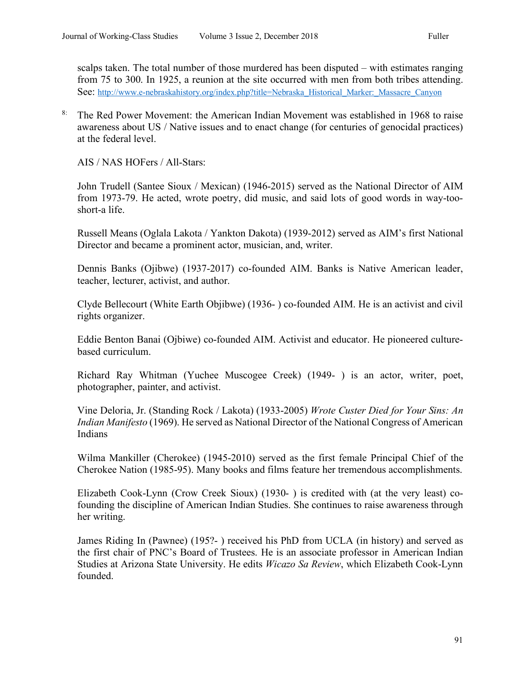scalps taken. The total number of those murdered has been disputed – with estimates ranging from 75 to 300. In 1925, a reunion at the site occurred with men from both tribes attending. See: http://www.e-nebraskahistory.org/index.php?title=Nebraska\_Historical\_Marker:\_Massacre\_Canyon

<sup>8:</sup> The Red Power Movement: the American Indian Movement was established in 1968 to raise awareness about US / Native issues and to enact change (for centuries of genocidal practices) at the federal level.

AIS / NAS HOFers / All-Stars:

John Trudell (Santee Sioux / Mexican) (1946-2015) served as the National Director of AIM from 1973-79. He acted, wrote poetry, did music, and said lots of good words in way-tooshort-a life.

Russell Means (Oglala Lakota / Yankton Dakota) (1939-2012) served as AIM's first National Director and became a prominent actor, musician, and, writer.

Dennis Banks (Ojibwe) (1937-2017) co-founded AIM. Banks is Native American leader, teacher, lecturer, activist, and author.

Clyde Bellecourt (White Earth Objibwe) (1936- ) co-founded AIM. He is an activist and civil rights organizer.

Eddie Benton Banai (Ojbiwe) co-founded AIM. Activist and educator. He pioneered culturebased curriculum.

Richard Ray Whitman (Yuchee Muscogee Creek) (1949- ) is an actor, writer, poet, photographer, painter, and activist.

Vine Deloria, Jr. (Standing Rock / Lakota) (1933-2005) *Wrote Custer Died for Your Sins: An Indian Manifesto* (1969). He served as National Director of the National Congress of American Indians

Wilma Mankiller (Cherokee) (1945-2010) served as the first female Principal Chief of the Cherokee Nation (1985-95). Many books and films feature her tremendous accomplishments.

Elizabeth Cook-Lynn (Crow Creek Sioux) (1930- ) is credited with (at the very least) cofounding the discipline of American Indian Studies. She continues to raise awareness through her writing.

James Riding In (Pawnee) (195?- ) received his PhD from UCLA (in history) and served as the first chair of PNC's Board of Trustees. He is an associate professor in American Indian Studies at Arizona State University. He edits *Wicazo Sa Review*, which Elizabeth Cook-Lynn founded.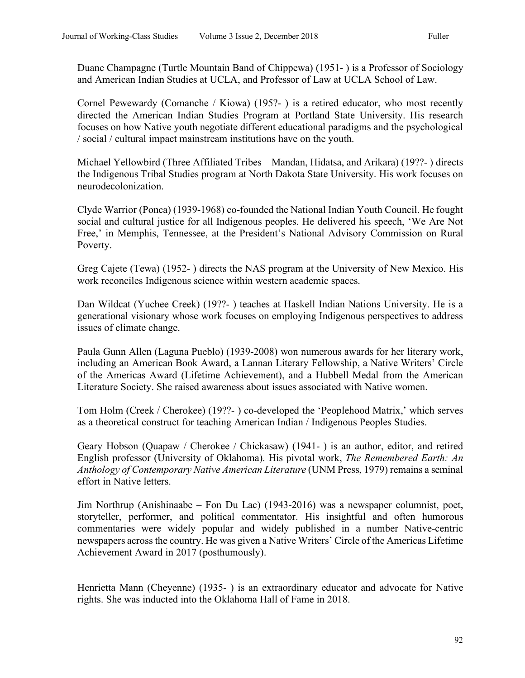Duane Champagne (Turtle Mountain Band of Chippewa) (1951- ) is a Professor of Sociology and American Indian Studies at UCLA, and Professor of Law at UCLA School of Law.

Cornel Pewewardy (Comanche / Kiowa) (195?- ) is a retired educator, who most recently directed the American Indian Studies Program at Portland State University. His research focuses on how Native youth negotiate different educational paradigms and the psychological / social / cultural impact mainstream institutions have on the youth.

Michael Yellowbird (Three Affiliated Tribes – Mandan, Hidatsa, and Arikara) (19??- ) directs the Indigenous Tribal Studies program at North Dakota State University. His work focuses on neurodecolonization.

Clyde Warrior (Ponca) (1939-1968) co-founded the National Indian Youth Council. He fought social and cultural justice for all Indigenous peoples. He delivered his speech, 'We Are Not Free,' in Memphis, Tennessee, at the President's National Advisory Commission on Rural Poverty.

Greg Cajete (Tewa) (1952- ) directs the NAS program at the University of New Mexico. His work reconciles Indigenous science within western academic spaces.

Dan Wildcat (Yuchee Creek) (19??- ) teaches at Haskell Indian Nations University. He is a generational visionary whose work focuses on employing Indigenous perspectives to address issues of climate change.

Paula Gunn Allen (Laguna Pueblo) (1939-2008) won numerous awards for her literary work, including an American Book Award, a Lannan Literary Fellowship, a Native Writers' Circle of the Americas Award (Lifetime Achievement), and a Hubbell Medal from the American Literature Society. She raised awareness about issues associated with Native women.

Tom Holm (Creek / Cherokee) (19??- ) co-developed the 'Peoplehood Matrix,' which serves as a theoretical construct for teaching American Indian / Indigenous Peoples Studies.

Geary Hobson (Quapaw / Cherokee / Chickasaw) (1941- ) is an author, editor, and retired English professor (University of Oklahoma). His pivotal work, *The Remembered Earth: An Anthology of Contemporary Native American Literature* (UNM Press, 1979) remains a seminal effort in Native letters.

Jim Northrup (Anishinaabe – Fon Du Lac) (1943-2016) was a newspaper columnist, poet, storyteller, performer, and political commentator. His insightful and often humorous commentaries were widely popular and widely published in a number Native-centric newspapers across the country. He was given a Native Writers' Circle of the Americas Lifetime Achievement Award in 2017 (posthumously).

Henrietta Mann (Cheyenne) (1935- ) is an extraordinary educator and advocate for Native rights. She was inducted into the Oklahoma Hall of Fame in 2018.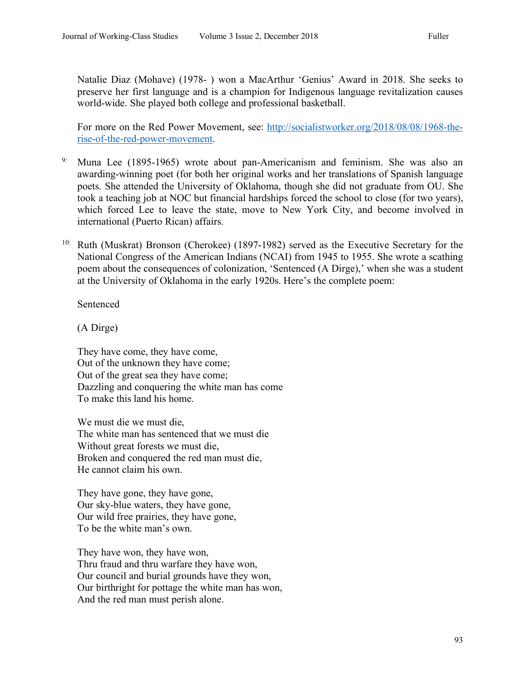Natalie Diaz (Mohave) (1978- ) won a MacArthur 'Genius' Award in 2018. She seeks to preserve her first language and is a champion for Indigenous language revitalization causes world-wide. She played both college and professional basketball.

For more on the Red Power Movement, see: http://socialistworker.org/2018/08/08/1968-therise-of-the-red-power-movement.

- <sup>9:</sup> Muna Lee (1895-1965) wrote about pan-Americanism and feminism. She was also an awarding-winning poet (for both her original works and her translations of Spanish language poets. She attended the University of Oklahoma, though she did not graduate from OU. She took a teaching job at NOC but financial hardships forced the school to close (for two years), which forced Lee to leave the state, move to New York City, and become involved in international (Puerto Rican) affairs.
- 10: Ruth (Muskrat) Bronson (Cherokee) (1897-1982) served as the Executive Secretary for the National Congress of the American Indians (NCAI) from 1945 to 1955. She wrote a scathing poem about the consequences of colonization, 'Sentenced (A Dirge),' when she was a student at the University of Oklahoma in the early 1920s. Here's the complete poem:

Sentenced

(A Dirge)

They have come, they have come, Out of the unknown they have come; Out of the great sea they have come; Dazzling and conquering the white man has come To make this land his home.

We must die we must die, The white man has sentenced that we must die Without great forests we must die, Broken and conquered the red man must die, He cannot claim his own.

They have gone, they have gone, Our sky-blue waters, they have gone, Our wild free prairies, they have gone, To be the white man's own.

They have won, they have won, Thru fraud and thru warfare they have won, Our council and burial grounds have they won, Our birthright for pottage the white man has won, And the red man must perish alone.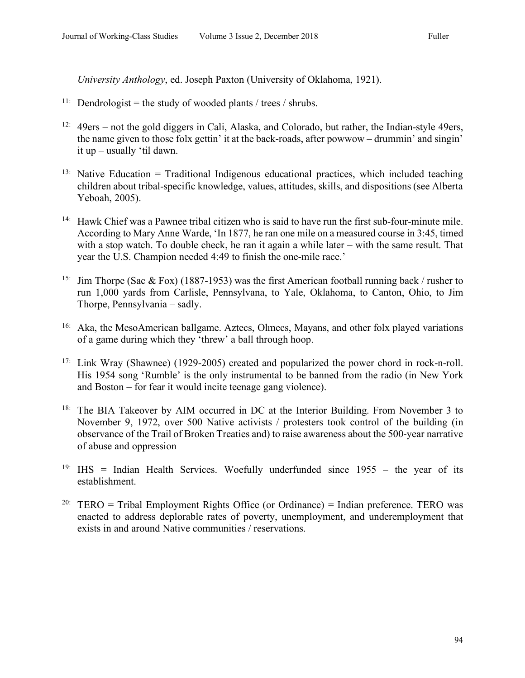*University Anthology*, ed. Joseph Paxton (University of Oklahoma, 1921).

- <sup>11:</sup> Dendrologist = the study of wooded plants / trees / shrubs.
- $12:$  49ers not the gold diggers in Cali, Alaska, and Colorado, but rather, the Indian-style 49ers, the name given to those folx gettin' it at the back-roads, after powwow – drummin' and singin' it up – usually 'til dawn.
- <sup>13:</sup> Native Education = Traditional Indigenous educational practices, which included teaching children about tribal-specific knowledge, values, attitudes, skills, and dispositions (see Alberta Yeboah, 2005).
- 14: Hawk Chief was a Pawnee tribal citizen who is said to have run the first sub-four-minute mile. According to Mary Anne Warde, 'In 1877, he ran one mile on a measured course in 3:45, timed with a stop watch. To double check, he ran it again a while later – with the same result. That year the U.S. Champion needed 4:49 to finish the one-mile race.'
- <sup>15:</sup> Jim Thorpe (Sac & Fox) (1887-1953) was the first American football running back / rusher to run 1,000 yards from Carlisle, Pennsylvana, to Yale, Oklahoma, to Canton, Ohio, to Jim Thorpe, Pennsylvania – sadly.
- 16: Aka, the MesoAmerican ballgame. Aztecs, Olmecs, Mayans, and other folx played variations of a game during which they 'threw' a ball through hoop.
- 17: Link Wray (Shawnee) (1929-2005) created and popularized the power chord in rock-n-roll. His 1954 song 'Rumble' is the only instrumental to be banned from the radio (in New York and Boston – for fear it would incite teenage gang violence).
- <sup>18:</sup> The BIA Takeover by AIM occurred in DC at the Interior Building. From November 3 to November 9, 1972, over 500 Native activists / protesters took control of the building (in observance of the Trail of Broken Treaties and) to raise awareness about the 500-year narrative of abuse and oppression
- <sup>19:</sup> IHS = Indian Health Services. Woefully underfunded since  $1955 -$  the year of its establishment.
- <sup>20:</sup> TERO = Tribal Employment Rights Office (or Ordinance) = Indian preference. TERO was enacted to address deplorable rates of poverty, unemployment, and underemployment that exists in and around Native communities / reservations.